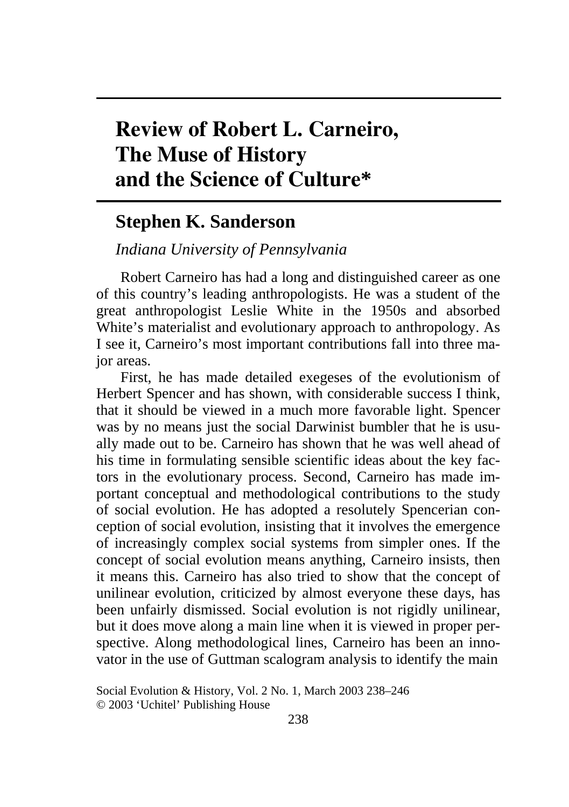# **Review of Robert L. Carneiro, The Muse of History and the Science of Culture\***

## **Stephen K. Sanderson**

## *Indiana University of Pennsylvania*

Robert Carneiro has had a long and distinguished career as one of this country's leading anthropologists. He was a student of the great anthropologist Leslie White in the 1950s and absorbed White's materialist and evolutionary approach to anthropology. As I see it, Carneiro's most important contributions fall into three major areas.

First, he has made detailed exegeses of the evolutionism of Herbert Spencer and has shown, with considerable success I think, that it should be viewed in a much more favorable light. Spencer was by no means just the social Darwinist bumbler that he is usually made out to be. Carneiro has shown that he was well ahead of his time in formulating sensible scientific ideas about the key factors in the evolutionary process. Second, Carneiro has made important conceptual and methodological contributions to the study of social evolution. He has adopted a resolutely Spencerian conception of social evolution, insisting that it involves the emergence of increasingly complex social systems from simpler ones. If the concept of social evolution means anything, Carneiro insists, then it means this. Carneiro has also tried to show that the concept of unilinear evolution, criticized by almost everyone these days, has been unfairly dismissed. Social evolution is not rigidly unilinear, but it does move along a main line when it is viewed in proper perspective. Along methodological lines, Carneiro has been an innovator in the use of Guttman scalogram analysis to identify the main

Social Evolution & History, Vol. 2 No. 1, March 2003 238–246 © 2003 'Uchitel' Publishing House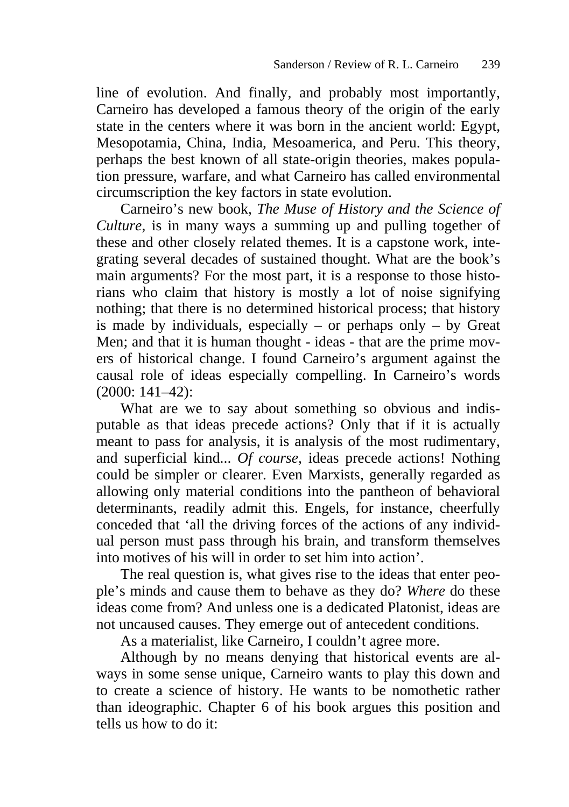line of evolution. And finally, and probably most importantly, Carneiro has developed a famous theory of the origin of the early state in the centers where it was born in the ancient world: Egypt, Mesopotamia, China, India, Mesoamerica, and Peru. This theory, perhaps the best known of all state-origin theories, makes population pressure, warfare, and what Carneiro has called environmental circumscription the key factors in state evolution.

Carneiro's new book, *The Muse of History and the Science of Culture,* is in many ways a summing up and pulling together of these and other closely related themes. It is a capstone work, integrating several decades of sustained thought. What are the book's main arguments? For the most part, it is a response to those historians who claim that history is mostly a lot of noise signifying nothing; that there is no determined historical process; that history is made by individuals, especially – or perhaps only – by Great Men; and that it is human thought - ideas - that are the prime movers of historical change. I found Carneiro's argument against the causal role of ideas especially compelling. In Carneiro's words (2000: 141–42):

What are we to say about something so obvious and indisputable as that ideas precede actions? Only that if it is actually meant to pass for analysis, it is analysis of the most rudimentary, and superficial kind... *Of course,* ideas precede actions! Nothing could be simpler or clearer. Even Marxists, generally regarded as allowing only material conditions into the pantheon of behavioral determinants, readily admit this. Engels, for instance, cheerfully conceded that 'all the driving forces of the actions of any individual person must pass through his brain, and transform themselves into motives of his will in order to set him into action'.

The real question is, what gives rise to the ideas that enter people's minds and cause them to behave as they do? *Where* do these ideas come from? And unless one is a dedicated Platonist, ideas are not uncaused causes. They emerge out of antecedent conditions.

As a materialist, like Carneiro, I couldn't agree more.

Although by no means denying that historical events are always in some sense unique, Carneiro wants to play this down and to create a science of history. He wants to be nomothetic rather than ideographic. Chapter 6 of his book argues this position and tells us how to do it: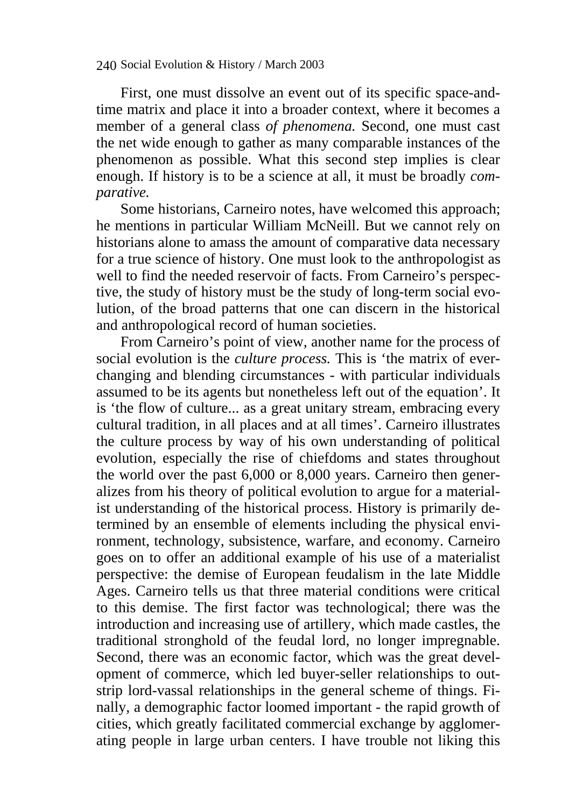240 Social Evolution & History / March 2003

First, one must dissolve an event out of its specific space-andtime matrix and place it into a broader context, where it becomes a member of a general class *of phenomena.* Second, one must cast the net wide enough to gather as many comparable instances of the phenomenon as possible. What this second step implies is clear enough. If history is to be a science at all, it must be broadly *comparative.*

Some historians, Carneiro notes, have welcomed this approach; he mentions in particular William McNeill. But we cannot rely on historians alone to amass the amount of comparative data necessary for a true science of history. One must look to the anthropologist as well to find the needed reservoir of facts. From Carneiro's perspective, the study of history must be the study of long-term social evolution, of the broad patterns that one can discern in the historical and anthropological record of human societies.

From Carneiro's point of view, another name for the process of social evolution is the *culture process.* This is 'the matrix of everchanging and blending circumstances - with particular individuals assumed to be its agents but nonetheless left out of the equation'. It is 'the flow of culture... as a great unitary stream, embracing every cultural tradition, in all places and at all times'. Carneiro illustrates the culture process by way of his own understanding of political evolution, especially the rise of chiefdoms and states throughout the world over the past 6,000 or 8,000 years. Carneiro then generalizes from his theory of political evolution to argue for a materialist understanding of the historical process. History is primarily determined by an ensemble of elements including the physical environment, technology, subsistence, warfare, and economy. Carneiro goes on to offer an additional example of his use of a materialist perspective: the demise of European feudalism in the late Middle Ages. Carneiro tells us that three material conditions were critical to this demise. The first factor was technological; there was the introduction and increasing use of artillery, which made castles, the traditional stronghold of the feudal lord, no longer impregnable. Second, there was an economic factor, which was the great development of commerce, which led buyer-seller relationships to outstrip lord-vassal relationships in the general scheme of things. Finally, a demographic factor loomed important - the rapid growth of cities, which greatly facilitated commercial exchange by agglomerating people in large urban centers. I have trouble not liking this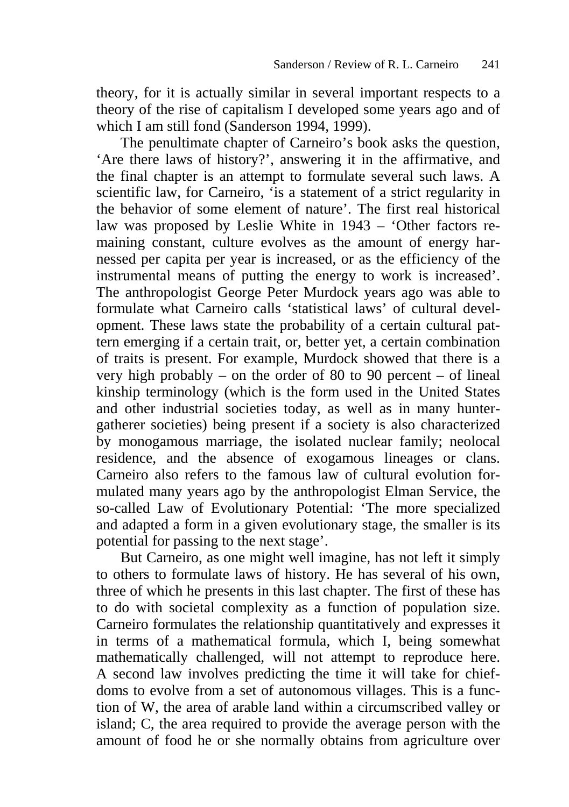theory, for it is actually similar in several important respects to a theory of the rise of capitalism I developed some years ago and of which I am still fond (Sanderson 1994, 1999).

The penultimate chapter of Carneiro's book asks the question, 'Are there laws of history?', answering it in the affirmative, and the final chapter is an attempt to formulate several such laws. A scientific law, for Carneiro, 'is a statement of a strict regularity in the behavior of some element of nature'. The first real historical law was proposed by Leslie White in 1943 – 'Other factors remaining constant, culture evolves as the amount of energy harnessed per capita per year is increased, or as the efficiency of the instrumental means of putting the energy to work is increased'. The anthropologist George Peter Murdock years ago was able to formulate what Carneiro calls 'statistical laws' of cultural development. These laws state the probability of a certain cultural pattern emerging if a certain trait, or, better yet, a certain combination of traits is present. For example, Murdock showed that there is a very high probably – on the order of 80 to 90 percent *–* of lineal kinship terminology (which is the form used in the United States and other industrial societies today, as well as in many huntergatherer societies) being present if a society is also characterized by monogamous marriage, the isolated nuclear family; neolocal residence, and the absence of exogamous lineages or clans. Carneiro also refers to the famous law of cultural evolution formulated many years ago by the anthropologist Elman Service, the so-called Law of Evolutionary Potential: 'The more specialized and adapted a form in a given evolutionary stage, the smaller is its potential for passing to the next stage'.

But Carneiro, as one might well imagine, has not left it simply to others to formulate laws of history. He has several of his own, three of which he presents in this last chapter. The first of these has to do with societal complexity as a function of population size. Carneiro formulates the relationship quantitatively and expresses it in terms of a mathematical formula, which I, being somewhat mathematically challenged, will not attempt to reproduce here. A second law involves predicting the time it will take for chiefdoms to evolve from a set of autonomous villages. This is a function of W, the area of arable land within a circumscribed valley or island; C, the area required to provide the average person with the amount of food he or she normally obtains from agriculture over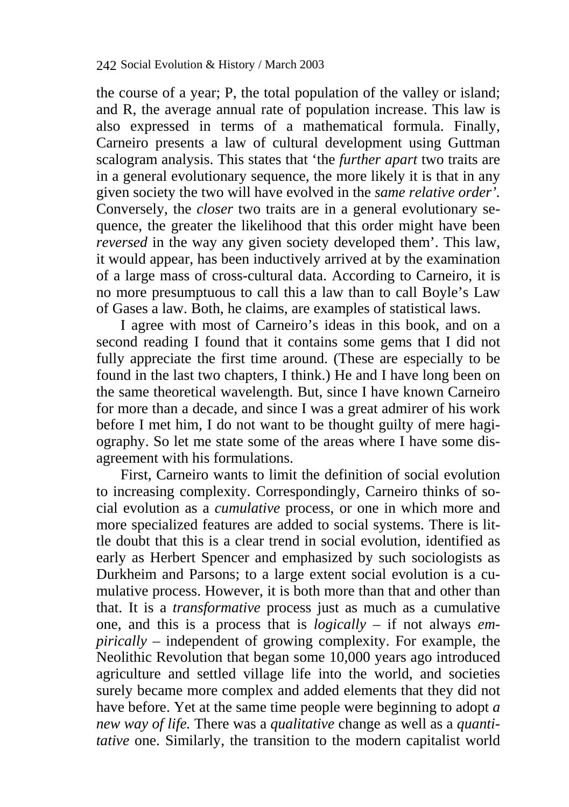the course of a year; P, the total population of the valley or island; and R, the average annual rate of population increase. This law is also expressed in terms of a mathematical formula. Finally, Carneiro presents a law of cultural development using Guttman scalogram analysis. This states that 'the *further apart* two traits are in a general evolutionary sequence, the more likely it is that in any given society the two will have evolved in the *same relative order'.*  Conversely, the *closer* two traits are in a general evolutionary sequence, the greater the likelihood that this order might have been *reversed* in the way any given society developed them'. This law, it would appear, has been inductively arrived at by the examination of a large mass of cross-cultural data. According to Carneiro, it is no more presumptuous to call this a law than to call Boyle's Law of Gases a law. Both, he claims, are examples of statistical laws.

I agree with most of Carneiro's ideas in this book, and on a second reading I found that it contains some gems that I did not fully appreciate the first time around. (These are especially to be found in the last two chapters, I think.) He and I have long been on the same theoretical wavelength. But, since I have known Carneiro for more than a decade, and since I was a great admirer of his work before I met him, I do not want to be thought guilty of mere hagiography. So let me state some of the areas where I have some disagreement with his formulations.

First, Carneiro wants to limit the definition of social evolution to increasing complexity. Correspondingly, Carneiro thinks of social evolution as a *cumulative* process, or one in which more and more specialized features are added to social systems. There is little doubt that this is a clear trend in social evolution, identified as early as Herbert Spencer and emphasized by such sociologists as Durkheim and Parsons; to a large extent social evolution is a cumulative process. However, it is both more than that and other than that. It is a *transformative* process just as much as a cumulative one, and this is a process that is *logically* – if not always *empirically –* independent of growing complexity. For example, the Neolithic Revolution that began some 10,000 years ago introduced agriculture and settled village life into the world, and societies surely became more complex and added elements that they did not have before. Yet at the same time people were beginning to adopt *a new way of life.* There was a *qualitative* change as well as a *quantitative* one. Similarly, the transition to the modern capitalist world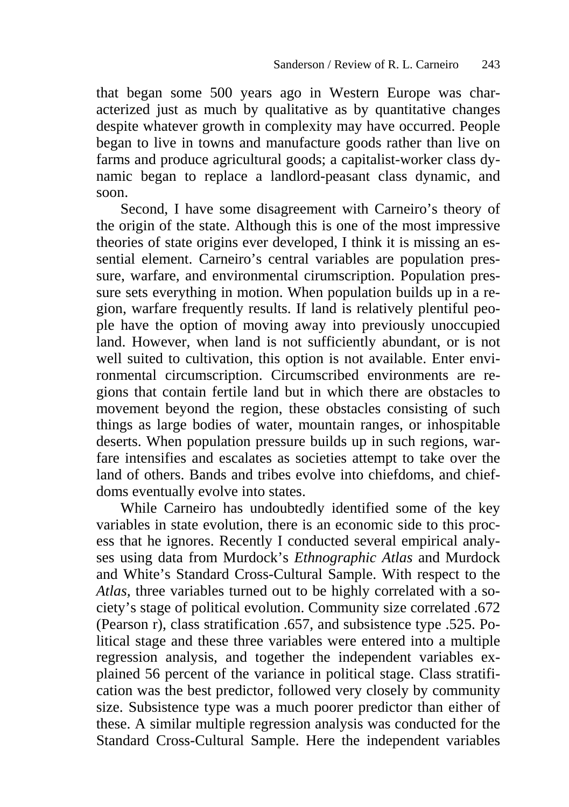that began some 500 years ago in Western Europe was characterized just as much by qualitative as by quantitative changes despite whatever growth in complexity may have occurred. People began to live in towns and manufacture goods rather than live on farms and produce agricultural goods; a capitalist-worker class dynamic began to replace a landlord-peasant class dynamic, and soon.

Second, I have some disagreement with Carneiro's theory of the origin of the state. Although this is one of the most impressive theories of state origins ever developed, I think it is missing an essential element. Carneiro's central variables are population pressure, warfare, and environmental cirumscription. Population pressure sets everything in motion. When population builds up in a region, warfare frequently results. If land is relatively plentiful people have the option of moving away into previously unoccupied land. However, when land is not sufficiently abundant, or is not well suited to cultivation, this option is not available. Enter environmental circumscription. Circumscribed environments are regions that contain fertile land but in which there are obstacles to movement beyond the region, these obstacles consisting of such things as large bodies of water, mountain ranges, or inhospitable deserts. When population pressure builds up in such regions, warfare intensifies and escalates as societies attempt to take over the land of others. Bands and tribes evolve into chiefdoms, and chiefdoms eventually evolve into states.

While Carneiro has undoubtedly identified some of the key variables in state evolution, there is an economic side to this process that he ignores. Recently I conducted several empirical analyses using data from Murdock's *Ethnographic Atlas* and Murdock and White's Standard Cross-Cultural Sample. With respect to the *Atlas,* three variables turned out to be highly correlated with a society's stage of political evolution. Community size correlated .672 (Pearson r), class stratification .657, and subsistence type .525. Political stage and these three variables were entered into a multiple regression analysis, and together the independent variables explained 56 percent of the variance in political stage. Class stratification was the best predictor, followed very closely by community size. Subsistence type was a much poorer predictor than either of these. A similar multiple regression analysis was conducted for the Standard Cross-Cultural Sample. Here the independent variables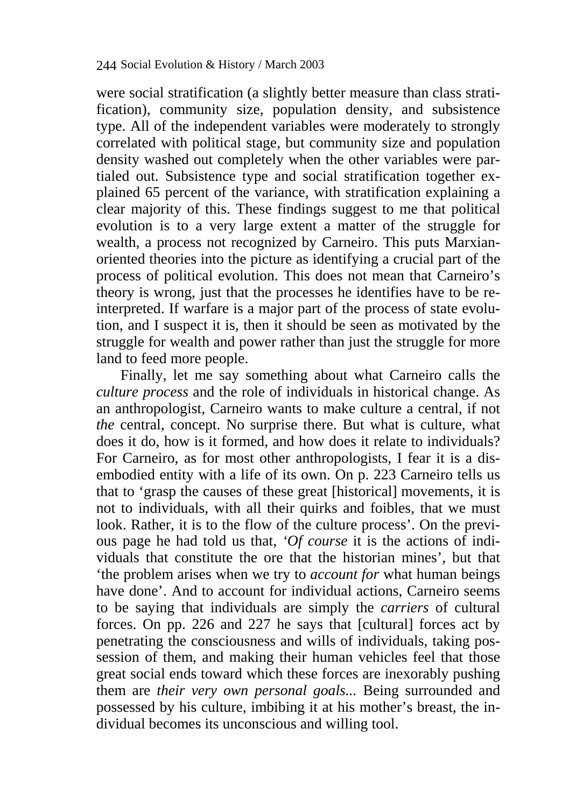were social stratification (a slightly better measure than class stratification), community size, population density, and subsistence type. All of the independent variables were moderately to strongly correlated with political stage, but community size and population density washed out completely when the other variables were partialed out. Subsistence type and social stratification together explained 65 percent of the variance, with stratification explaining a clear majority of this. These findings suggest to me that political evolution is to a very large extent a matter of the struggle for wealth, a process not recognized by Carneiro. This puts Marxianoriented theories into the picture as identifying a crucial part of the process of political evolution. This does not mean that Carneiro's theory is wrong, just that the processes he identifies have to be reinterpreted. If warfare is a major part of the process of state evolution, and I suspect it is, then it should be seen as motivated by the struggle for wealth and power rather than just the struggle for more land to feed more people.

Finally, let me say something about what Carneiro calls the *culture process* and the role of individuals in historical change. As an anthropologist, Carneiro wants to make culture a central, if not *the* central, concept. No surprise there. But what is culture, what does it do, how is it formed, and how does it relate to individuals? For Carneiro, as for most other anthropologists, I fear it is a disembodied entity with a life of its own. On p. 223 Carneiro tells us that to 'grasp the causes of these great [historical] movements, it is not to individuals, with all their quirks and foibles, that we must look. Rather, it is to the flow of the culture process'. On the previous page he had told us that, *'Of course* it is the actions of individuals that constitute the ore that the historian mines', but that 'the problem arises when we try to *account for* what human beings have done'. And to account for individual actions, Carneiro seems to be saying that individuals are simply the *carriers* of cultural forces. On pp. 226 and 227 he says that [cultural] forces act by penetrating the consciousness and wills of individuals, taking possession of them, and making their human vehicles feel that those great social ends toward which these forces are inexorably pushing them are *their very own personal goals...* Being surrounded and possessed by his culture, imbibing it at his mother's breast, the individual becomes its unconscious and willing tool.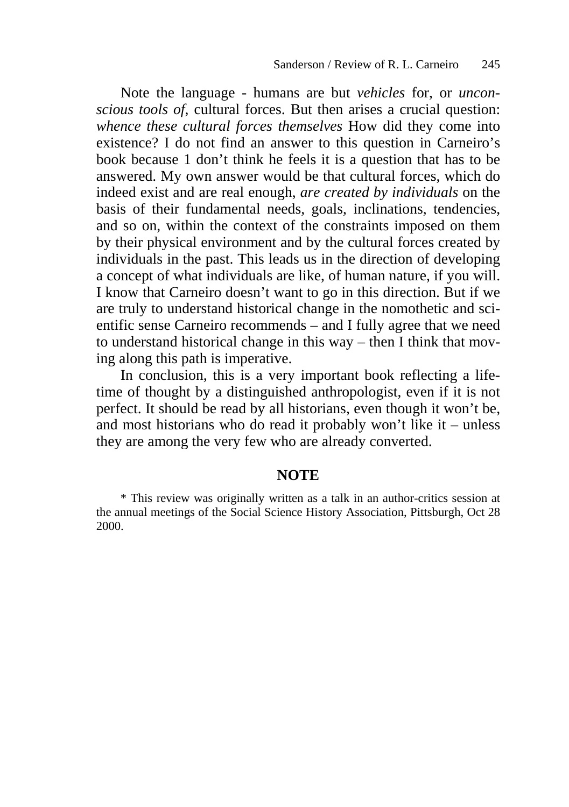Note the language - humans are but *vehicles* for, or *unconscious tools of,* cultural forces. But then arises a crucial question: *whence these cultural forces themselves* How did they come into existence? I do not find an answer to this question in Carneiro's book because 1 don't think he feels it is a question that has to be answered. My own answer would be that cultural forces, which do indeed exist and are real enough, *are created by individuals* on the basis of their fundamental needs, goals, inclinations, tendencies, and so on, within the context of the constraints imposed on them by their physical environment and by the cultural forces created by individuals in the past. This leads us in the direction of developing a concept of what individuals are like, of human nature, if you will. I know that Carneiro doesn't want to go in this direction. But if we are truly to understand historical change in the nomothetic and scientific sense Carneiro recommends – and I fully agree that we need to understand historical change in this way – then I think that moving along this path is imperative.

In conclusion, this is a very important book reflecting a lifetime of thought by a distinguished anthropologist, even if it is not perfect. It should be read by all historians, even though it won't be, and most historians who do read it probably won't like it – unless they are among the very few who are already converted.

#### **NOTE**

<sup>\*</sup> This review was originally written as a talk in an author-critics session at the annual meetings of the Social Science History Association, Pittsburgh, Oct 28 2000.